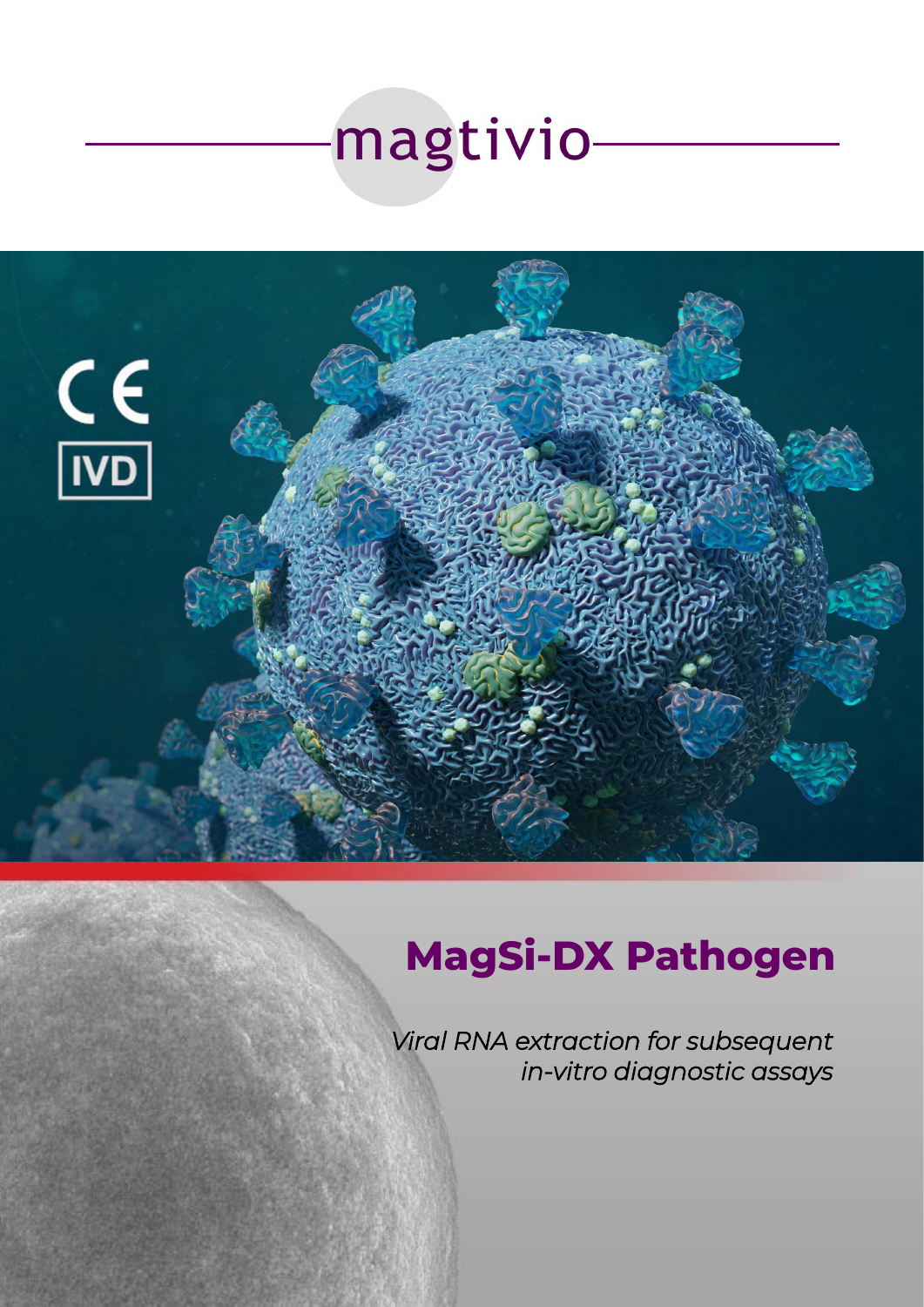



# **MagSi-DX Pathogen**

*Viral RNA extraction for subsequent in-vitro diagnostic assays*